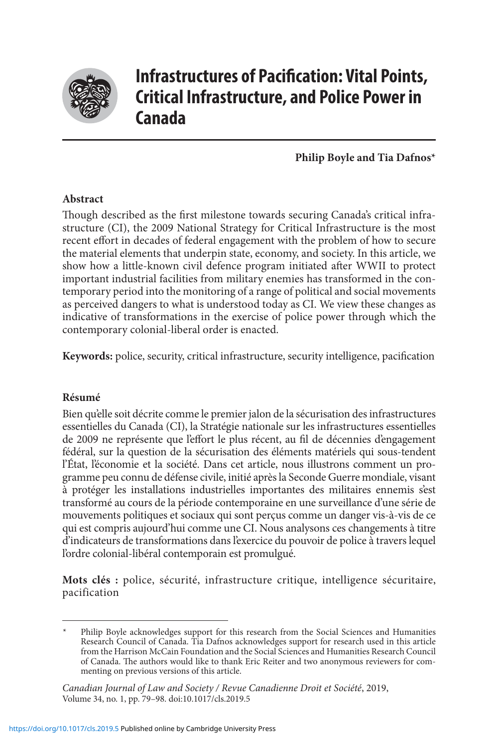

# **Infrastructures of Pacification: Vital Points, Critical Infrastructure, and Police Power in Canada**

## **Philip Boyle and Tia Dafnos\***

## **Abstract**

Though described as the first milestone towards securing Canada's critical infrastructure (CI), the 2009 National Strategy for Critical Infrastructure is the most recent effort in decades of federal engagement with the problem of how to secure the material elements that underpin state, economy, and society. In this article, we show how a little-known civil defence program initiated after WWII to protect important industrial facilities from military enemies has transformed in the contemporary period into the monitoring of a range of political and social movements as perceived dangers to what is understood today as CI. We view these changes as indicative of transformations in the exercise of police power through which the contemporary colonial-liberal order is enacted.

**Keywords:** police, security, critical infrastructure, security intelligence, pacification

## **Résumé**

Bien qu'elle soit décrite comme le premier jalon de la sécurisation des infrastructures essentielles du Canada (CI), la Stratégie nationale sur les infrastructures essentielles de 2009 ne représente que l'effort le plus récent, au fil de décennies d'engagement fédéral, sur la question de la sécurisation des éléments matériels qui sous-tendent l'État, l'économie et la société. Dans cet article, nous illustrons comment un programme peu connu de défense civile, initié après la Seconde Guerre mondiale, visant à protéger les installations industrielles importantes des militaires ennemis s'est transformé au cours de la période contemporaine en une surveillance d'une série de mouvements politiques et sociaux qui sont perçus comme un danger vis-à-vis de ce qui est compris aujourd'hui comme une CI. Nous analysons ces changements à titre d'indicateurs de transformations dans l'exercice du pouvoir de police à travers lequel l'ordre colonial-libéral contemporain est promulgué.

**Mots clés :** police, sécurité, infrastructure critique, intelligence sécuritaire, pacification

Philip Boyle acknowledges support for this research from the Social Sciences and Humanities Research Council of Canada. Tia Dafnos acknowledges support for research used in this article from the Harrison McCain Foundation and the Social Sciences and Humanities Research Council of Canada. The authors would like to thank Eric Reiter and two anonymous reviewers for commenting on previous versions of this article.

*Canadian Journal of Law and Society / Revue Canadienne Droit et Société*, 2019, Volume 34, no. 1, pp. 79–98. doi:10.1017/cls.2019.5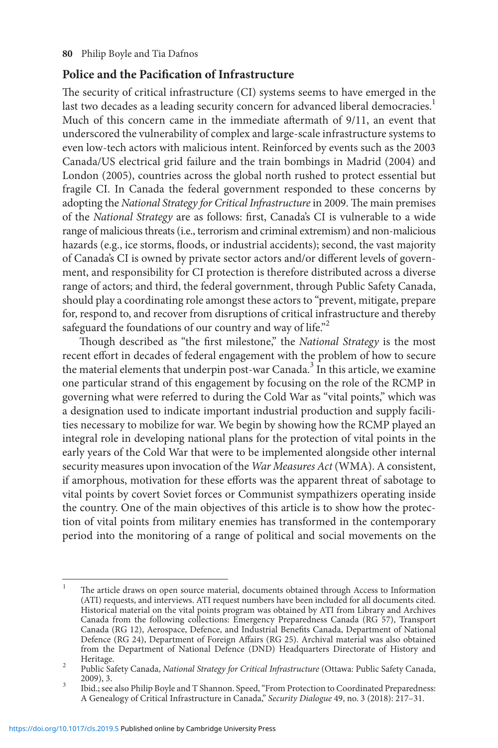## **Police and the Pacification of Infrastructure**

The security of critical infrastructure (CI) systems seems to have emerged in the last two decades as a leading security concern for advanced liberal democracies.<sup>1</sup> Much of this concern came in the immediate aftermath of 9/11, an event that underscored the vulnerability of complex and large-scale infrastructure systems to even low-tech actors with malicious intent. Reinforced by events such as the 2003 Canada/US electrical grid failure and the train bombings in Madrid (2004) and London (2005), countries across the global north rushed to protect essential but fragile CI. In Canada the federal government responded to these concerns by adopting the *National Strategy for Critical Infrastructure* in 2009. The main premises of the *National Strategy* are as follows: first, Canada's CI is vulnerable to a wide range of malicious threats (i.e., terrorism and criminal extremism) and non-malicious hazards (e.g., ice storms, floods, or industrial accidents); second, the vast majority of Canada's CI is owned by private sector actors and/or different levels of government, and responsibility for CI protection is therefore distributed across a diverse range of actors; and third, the federal government, through Public Safety Canada, should play a coordinating role amongst these actors to "prevent, mitigate, prepare for, respond to, and recover from disruptions of critical infrastructure and thereby safeguard the foundations of our country and way of life."<sup>2</sup>

Though described as "the first milestone," the *National Strategy* is the most recent effort in decades of federal engagement with the problem of how to secure the material elements that underpin post-war Canada.<sup>3</sup> In this article, we examine one particular strand of this engagement by focusing on the role of the RCMP in governing what were referred to during the Cold War as "vital points," which was a designation used to indicate important industrial production and supply facilities necessary to mobilize for war. We begin by showing how the RCMP played an integral role in developing national plans for the protection of vital points in the early years of the Cold War that were to be implemented alongside other internal security measures upon invocation of the *War Measures Act* (WMA). A consistent, if amorphous, motivation for these efforts was the apparent threat of sabotage to vital points by covert Soviet forces or Communist sympathizers operating inside the country. One of the main objectives of this article is to show how the protection of vital points from military enemies has transformed in the contemporary period into the monitoring of a range of political and social movements on the

<sup>&</sup>lt;sup>1</sup> The article draws on open source material, documents obtained through Access to Information (ATI) requests, and interviews. ATI request numbers have been included for all documents cited. Historical material on the vital points program was obtained by ATI from Library and Archives Canada from the following collections: Emergency Preparedness Canada (RG 57), Transport Canada (RG 12), Aerospace, Defence, and Industrial Benefits Canada, Department of National Defence (RG 24), Department of Foreign Affairs (RG 25). Archival material was also obtained from the Department of National Defence (DND) Headquarters Directorate of History and

Public Safety Canada, *National Strategy for Critical Infrastructure* (Ottawa: Public Safety Canada, 2009), 3.

<sup>2009), 3.</sup>  $\frac{2009}{3}$ , B. S. 3. Ibid.; see also Philip Boyle and T Shannon. Speed, "From Protection to Coordinated Preparedness: A Genealogy of Critical Infrastructure in Canada," *Security Dialogue* 49, no. 3 (2018): 217–31.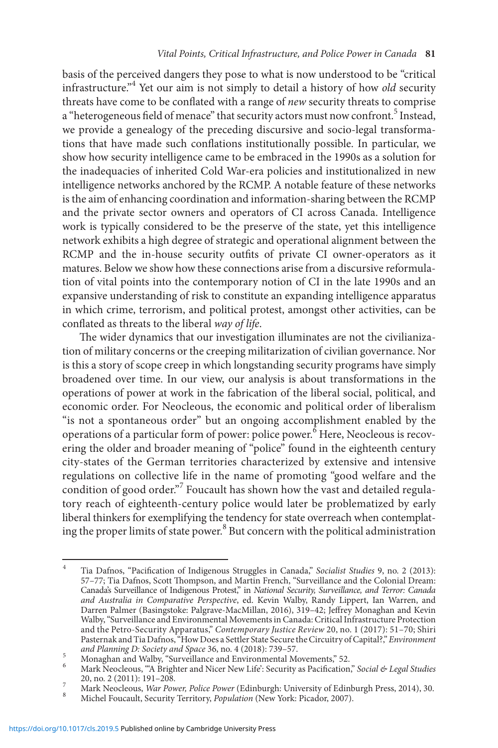basis of the perceived dangers they pose to what is now understood to be "critical infrastructure."4 Yet our aim is not simply to detail a history of how *old* security threats have come to be conflated with a range of *new* security threats to comprise a "heterogeneous field of menace" that security actors must now confront.<sup>5</sup> Instead, we provide a genealogy of the preceding discursive and socio-legal transformations that have made such conflations institutionally possible. In particular, we show how security intelligence came to be embraced in the 1990s as a solution for the inadequacies of inherited Cold War-era policies and institutionalized in new intelligence networks anchored by the RCMP. A notable feature of these networks is the aim of enhancing coordination and information-sharing between the RCMP and the private sector owners and operators of CI across Canada. Intelligence work is typically considered to be the preserve of the state, yet this intelligence network exhibits a high degree of strategic and operational alignment between the RCMP and the in-house security outfits of private CI owner-operators as it matures. Below we show how these connections arise from a discursive reformulation of vital points into the contemporary notion of CI in the late 1990s and an expansive understanding of risk to constitute an expanding intelligence apparatus in which crime, terrorism, and political protest, amongst other activities, can be conflated as threats to the liberal *way of life*.

The wider dynamics that our investigation illuminates are not the civilianization of military concerns or the creeping militarization of civilian governance. Nor is this a story of scope creep in which longstanding security programs have simply broadened over time. In our view, our analysis is about transformations in the operations of power at work in the fabrication of the liberal social, political, and economic order. For Neocleous, the economic and political order of liberalism "is not a spontaneous order" but an ongoing accomplishment enabled by the operations of a particular form of power: police power.<sup>6</sup> Here, Neocleous is recovering the older and broader meaning of "police" found in the eighteenth century city-states of the German territories characterized by extensive and intensive regulations on collective life in the name of promoting "good welfare and the condition of good order."<sup>7</sup> Foucault has shown how the vast and detailed regulatory reach of eighteenth-century police would later be problematized by early liberal thinkers for exemplifying the tendency for state overreach when contemplating the proper limits of state power.<sup>8</sup> But concern with the political administration

<sup>4</sup> Tia Dafnos, "Pacification of Indigenous Struggles in Canada," *Socialist Studies* 9, no. 2 (2013): 57–77; Tia Dafnos, Scott Thompson, and Martin French, "Surveillance and the Colonial Dream: Canada's Surveillance of Indigenous Protest," in *National Security, Surveillance, and Terror: Canada and Australia in Comparative Perspective*, ed. Kevin Walby, Randy Lippert, Ian Warren, and Darren Palmer (Basingstoke: Palgrave-MacMillan, 2016), 319–42; Jeffrey Monaghan and Kevin Walby, "Surveillance and Environmental Movements in Canada: Critical Infrastructure Protection and the Petro-Security Apparatus," *Contemporary Justice Review* 20, no. 1 (2017): 51–70; Shiri Pasternak and Tia Dafnos, "How Does a Settler State Secure the Circuitry of Capital?," *Environment* 

Monaghan and Walby, "Surveillance and Environmental Movements," 52.<br>
Mark Neocleous, "A Brighter and Nicer New Life': Security as Pacification," Social & Legal Studies<br>
20, no. 2 (2011): 191–208.

<sup>20,</sup> no. 2 (2011): 191–208. <sup>7</sup> Mark Neocleous, *War Power, Police Power* (Edinburgh: University of Edinburgh Press, 2014), 30. <sup>8</sup> Michel Foucault, Security Territory, *Population* (New York: Picador, 2007).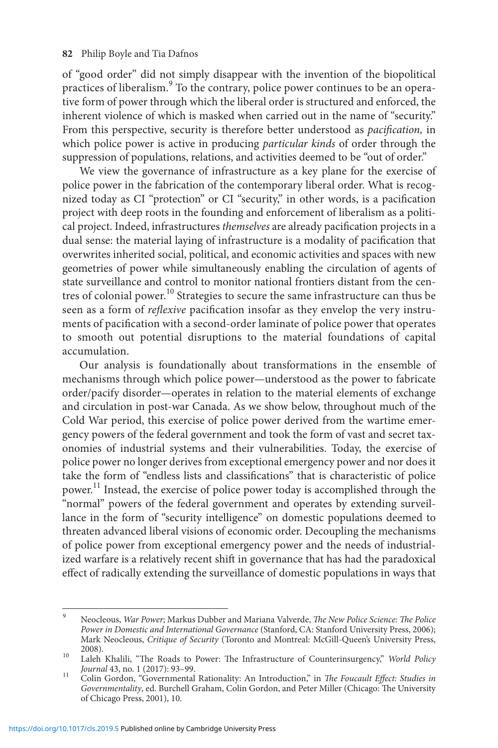of "good order" did not simply disappear with the invention of the biopolitical practices of liberalism.<sup>9</sup> To the contrary, police power continues to be an operative form of power through which the liberal order is structured and enforced, the inherent violence of which is masked when carried out in the name of "security." From this perspective, security is therefore better understood as *pacification,* in which police power is active in producing *particular kinds* of order through the suppression of populations, relations, and activities deemed to be "out of order."

We view the governance of infrastructure as a key plane for the exercise of police power in the fabrication of the contemporary liberal order. What is recognized today as CI "protection" or CI "security," in other words, is a pacification project with deep roots in the founding and enforcement of liberalism as a political project. Indeed, infrastructures *themselves* are already pacification projects in a dual sense: the material laying of infrastructure is a modality of pacification that overwrites inherited social, political, and economic activities and spaces with new geometries of power while simultaneously enabling the circulation of agents of state surveillance and control to monitor national frontiers distant from the centres of colonial power.<sup>10</sup> Strategies to secure the same infrastructure can thus be seen as a form of *reflexive* pacification insofar as they envelop the very instruments of pacification with a second-order laminate of police power that operates to smooth out potential disruptions to the material foundations of capital accumulation.

Our analysis is foundationally about transformations in the ensemble of mechanisms through which police power—understood as the power to fabricate order/pacify disorder—operates in relation to the material elements of exchange and circulation in post-war Canada. As we show below, throughout much of the Cold War period, this exercise of police power derived from the wartime emergency powers of the federal government and took the form of vast and secret taxonomies of industrial systems and their vulnerabilities. Today, the exercise of police power no longer derives from exceptional emergency power and nor does it take the form of "endless lists and classifications" that is characteristic of police power.<sup>11</sup> Instead, the exercise of police power today is accomplished through the "normal" powers of the federal government and operates by extending surveillance in the form of "security intelligence" on domestic populations deemed to threaten advanced liberal visions of economic order. Decoupling the mechanisms of police power from exceptional emergency power and the needs of industrialized warfare is a relatively recent shift in governance that has had the paradoxical effect of radically extending the surveillance of domestic populations in ways that

<sup>9</sup> Neocleous, *War Power*; Markus Dubber and Mariana Valverde, *The New Police Science: The Police Power in Domestic and International Governance* (Stanford, CA: Stanford University Press, 2006); Mark Neocleous, *Critique of Security* (Toronto and Montreal: McGill-Queen's University Press,

<sup>2008).</sup> <sup>10</sup> Laleh Khalili, "The Roads to Power: The Infrastructure of Counterinsurgency," *World Policy* 

*Journal* 43, no. 1 (2017): 93–99. <sup>11</sup> Colin Gordon, "Governmental Rationality: An Introduction," in *The Foucault Effect: Studies in Governmentality*, ed. Burchell Graham, Colin Gordon, and Peter Miller (Chicago: The University of Chicago Press, 2001), 10.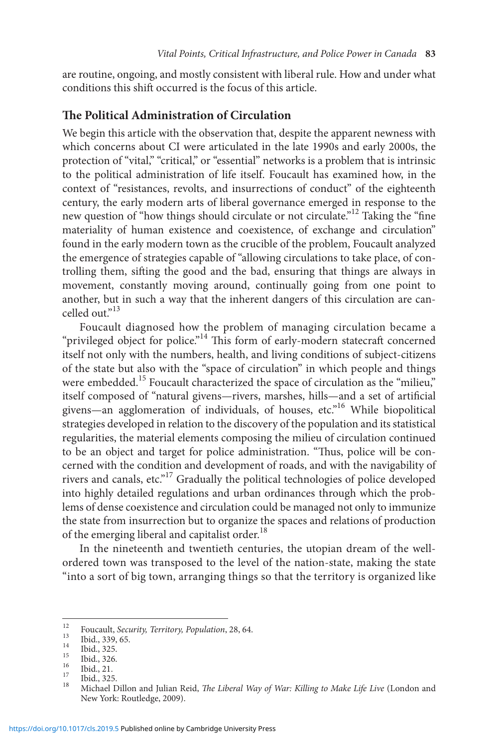are routine, ongoing, and mostly consistent with liberal rule. How and under what conditions this shift occurred is the focus of this article.

#### **The Political Administration of Circulation**

We begin this article with the observation that, despite the apparent newness with which concerns about CI were articulated in the late 1990s and early 2000s, the protection of "vital," "critical," or "essential" networks is a problem that is intrinsic to the political administration of life itself. Foucault has examined how, in the context of "resistances, revolts, and insurrections of conduct" of the eighteenth century, the early modern arts of liberal governance emerged in response to the new question of "how things should circulate or not circulate."12 Taking the "fine materiality of human existence and coexistence, of exchange and circulation" found in the early modern town as the crucible of the problem, Foucault analyzed the emergence of strategies capable of "allowing circulations to take place, of controlling them, sifting the good and the bad, ensuring that things are always in movement, constantly moving around, continually going from one point to another, but in such a way that the inherent dangers of this circulation are cancelled out."<sup>13</sup>

Foucault diagnosed how the problem of managing circulation became a "privileged object for police."<sup>14</sup> This form of early-modern statecraft concerned itself not only with the numbers, health, and living conditions of subject-citizens of the state but also with the "space of circulation" in which people and things were embedded.<sup>15</sup> Foucault characterized the space of circulation as the "milieu," itself composed of "natural givens—rivers, marshes, hills—and a set of artificial givens—an agglomeration of individuals, of houses, etc."16 While biopolitical strategies developed in relation to the discovery of the population and its statistical regularities, the material elements composing the milieu of circulation continued to be an object and target for police administration. "Thus, police will be concerned with the condition and development of roads, and with the navigability of rivers and canals, etc."17 Gradually the political technologies of police developed into highly detailed regulations and urban ordinances through which the problems of dense coexistence and circulation could be managed not only to immunize the state from insurrection but to organize the spaces and relations of production of the emerging liberal and capitalist order.<sup>18</sup>

In the nineteenth and twentieth centuries, the utopian dream of the wellordered town was transposed to the level of the nation-state, making the state "into a sort of big town, arranging things so that the territory is organized like

<sup>&</sup>lt;sup>12</sup> Foucault, *Security, Territory, Population,* 28, 64.<br>
<sup>13</sup> Ibid., 339, 65.<br>
<sup>15</sup> Ibid., 325.<br>
<sup>15</sup> Ibid., 326.<br>
<sup>16</sup> Ibid., 21.<br>
<sup>16</sup> Ibid., 226.<br>
<sup>16</sup> Ibid., 225.<br>
<sup>16</sup> Ibid., 225.<br>
<sup>16</sup> Ibid., 325.<br>
<sup>16</sup> Ibid., 325 New York: Routledge, 2009).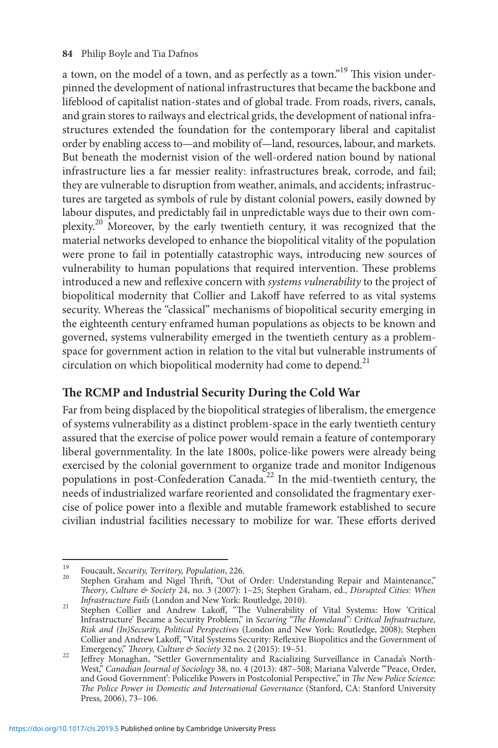a town, on the model of a town, and as perfectly as a town."<sup>19</sup> This vision underpinned the development of national infrastructures that became the backbone and lifeblood of capitalist nation-states and of global trade. From roads, rivers, canals, and grain stores to railways and electrical grids, the development of national infrastructures extended the foundation for the contemporary liberal and capitalist order by enabling access to—and mobility of—land, resources, labour, and markets. But beneath the modernist vision of the well-ordered nation bound by national infrastructure lies a far messier reality: infrastructures break, corrode, and fail; they are vulnerable to disruption from weather, animals, and accidents; infrastructures are targeted as symbols of rule by distant colonial powers, easily downed by labour disputes, and predictably fail in unpredictable ways due to their own complexity.20 Moreover, by the early twentieth century, it was recognized that the material networks developed to enhance the biopolitical vitality of the population were prone to fail in potentially catastrophic ways, introducing new sources of vulnerability to human populations that required intervention. These problems introduced a new and reflexive concern with *systems vulnerability* to the project of biopolitical modernity that Collier and Lakoff have referred to as vital systems security. Whereas the "classical" mechanisms of biopolitical security emerging in the eighteenth century enframed human populations as objects to be known and governed, systems vulnerability emerged in the twentieth century as a problemspace for government action in relation to the vital but vulnerable instruments of circulation on which biopolitical modernity had come to depend.<sup>21</sup>

## **The RCMP and Industrial Security During the Cold War**

Far from being displaced by the biopolitical strategies of liberalism, the emergence of systems vulnerability as a distinct problem-space in the early twentieth century assured that the exercise of police power would remain a feature of contemporary liberal governmentality. In the late 1800s, police-like powers were already being exercised by the colonial government to organize trade and monitor Indigenous populations in post-Confederation Canada.22 In the mid-twentieth century, the needs of industrialized warfare reoriented and consolidated the fragmentary exercise of police power into a flexible and mutable framework established to secure civilian industrial facilities necessary to mobilize for war. These efforts derived

<sup>&</sup>lt;sup>19</sup> Foucault, *Security, Territory, Population*, 226.<br><sup>20</sup> Stephen Graham and Nigel Thrift, "Out of Order: Understanding Repair and Maintenance," *Theory*, *Culture & Society* 24, no. 3 (2007): 1–25; Stephen Graham, ed., *Disrupted Cities: When* 

*Infrastructure Fails* (London and New York: Routledge, 2010). <sup>21</sup> Stephen Collier and Andrew Lakoff, "The Vulnerability of Vital Systems: How 'Critical Infrastructure' Became a Security Problem," in *Securing "The Homeland": Critical Infrastructure, Risk and (In)Security, Political Perspectives* (London and New York: Routledge, 2008); Stephen Collier and Andrew Lakoff, "Vital Systems Security: Reflexive Biopolitics and the Government of Emergency," Theory, Culture & Society 32 no. 2 (2015): 19-51.

Emergency," *Theory, Culture & Society* 32 no. 2 (2015): 19–51. <sup>22</sup> Jeffrey Monaghan, "Settler Governmentality and Racializing Surveillance in Canada's North-West," *Canadian Journal of Sociology* 38, no. 4 (2013): 487–508; Mariana Valverde "'Peace, Order, and Good Government': Policelike Powers in Postcolonial Perspective," in *The New Police Science: The Police Power in Domestic and International Governance* (Stanford, CA: Stanford University Press, 2006), 73–106.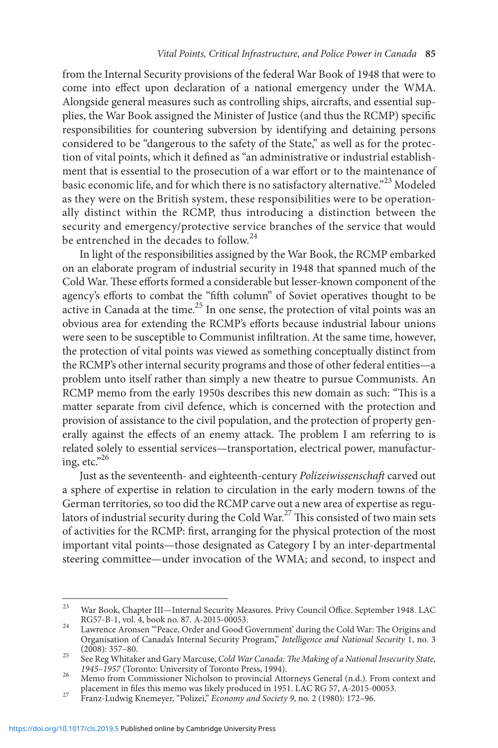from the Internal Security provisions of the federal War Book of 1948 that were to come into effect upon declaration of a national emergency under the WMA. Alongside general measures such as controlling ships, aircrafts, and essential supplies, the War Book assigned the Minister of Justice (and thus the RCMP) specific responsibilities for countering subversion by identifying and detaining persons considered to be "dangerous to the safety of the State," as well as for the protection of vital points, which it defined as "an administrative or industrial establishment that is essential to the prosecution of a war effort or to the maintenance of basic economic life, and for which there is no satisfactory alternative."<sup>23</sup> Modeled as they were on the British system, these responsibilities were to be operationally distinct within the RCMP, thus introducing a distinction between the security and emergency/protective service branches of the service that would be entrenched in the decades to follow.<sup>24</sup>

In light of the responsibilities assigned by the War Book, the RCMP embarked on an elaborate program of industrial security in 1948 that spanned much of the Cold War. These efforts formed a considerable but lesser-known component of the agency's efforts to combat the "fifth column" of Soviet operatives thought to be active in Canada at the time.<sup>25</sup> In one sense, the protection of vital points was an obvious area for extending the RCMP's efforts because industrial labour unions were seen to be susceptible to Communist infiltration. At the same time, however, the protection of vital points was viewed as something conceptually distinct from the RCMP's other internal security programs and those of other federal entities—a problem unto itself rather than simply a new theatre to pursue Communists. An RCMP memo from the early 1950s describes this new domain as such: "This is a matter separate from civil defence, which is concerned with the protection and provision of assistance to the civil population, and the protection of property generally against the effects of an enemy attack. The problem I am referring to is related solely to essential services—transportation, electrical power, manufacturing, etc." $26$ 

Just as the seventeenth- and eighteenth-century *Polizeiwissenschaft* carved out a sphere of expertise in relation to circulation in the early modern towns of the German territories, so too did the RCMP carve out a new area of expertise as regulators of industrial security during the Cold War.<sup>27</sup> This consisted of two main sets of activities for the RCMP: first, arranging for the physical protection of the most important vital points—those designated as Category I by an inter-departmental steering committee—under invocation of the WMA; and second, to inspect and

<sup>&</sup>lt;sup>23</sup> War Book, Chapter III—Internal Security Measures. Privy Council Office. September 1948. LAC RG57-B-1, vol. 4, book no. 87. A-2015-00053.

RG57-B-1, vol. 4, book no. 87. A-2015-00053. <sup>24</sup> Lawrence Aronsen "'Peace, Order and Good Government' during the Cold War: The Origins and Organisation of Canada's Internal Security Program," *Intelligence and National Security* 1, no. 3

See Reg Whitaker and Gary Marcuse, *Cold War Canada: The Making of a National Insecurity State,*<br>1945–1957 (Toronto: University of Toronto Press, 1994).

*<sup>1945</sup>* Memo from Commissioner Nicholson to provincial Attorneys General (n.d.). From context and placement in files this memo was likely produced in 1951. LAC RG 57, A-2015-00053.

placement in files this memo was likely produced in 1951. LAC RG 57, A-2015-0053. **Example 1951.** 2015-00053. 27 Franz-Ludwig Knemeyer, "Polizei," *Economy and Society 9*, no. 2 (1980): 172–96.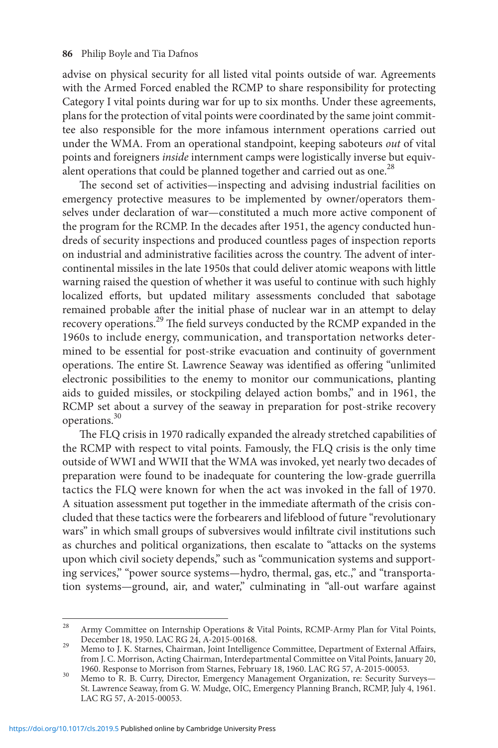advise on physical security for all listed vital points outside of war. Agreements with the Armed Forced enabled the RCMP to share responsibility for protecting Category I vital points during war for up to six months. Under these agreements, plans for the protection of vital points were coordinated by the same joint committee also responsible for the more infamous internment operations carried out under the WMA. From an operational standpoint, keeping saboteurs *out* of vital points and foreigners *inside* internment camps were logistically inverse but equivalent operations that could be planned together and carried out as one.<sup>28</sup>

The second set of activities—inspecting and advising industrial facilities on emergency protective measures to be implemented by owner/operators themselves under declaration of war—constituted a much more active component of the program for the RCMP. In the decades after 1951, the agency conducted hundreds of security inspections and produced countless pages of inspection reports on industrial and administrative facilities across the country. The advent of intercontinental missiles in the late 1950s that could deliver atomic weapons with little warning raised the question of whether it was useful to continue with such highly localized efforts, but updated military assessments concluded that sabotage remained probable after the initial phase of nuclear war in an attempt to delay recovery operations.29 The field surveys conducted by the RCMP expanded in the 1960s to include energy, communication, and transportation networks determined to be essential for post-strike evacuation and continuity of government operations. The entire St. Lawrence Seaway was identified as offering "unlimited electronic possibilities to the enemy to monitor our communications, planting aids to guided missiles, or stockpiling delayed action bombs," and in 1961, the RCMP set about a survey of the seaway in preparation for post-strike recovery operations.30

The FLQ crisis in 1970 radically expanded the already stretched capabilities of the RCMP with respect to vital points. Famously, the FLQ crisis is the only time outside of WWI and WWII that the WMA was invoked, yet nearly two decades of preparation were found to be inadequate for countering the low-grade guerrilla tactics the FLQ were known for when the act was invoked in the fall of 1970. A situation assessment put together in the immediate aftermath of the crisis concluded that these tactics were the forbearers and lifeblood of future "revolutionary wars" in which small groups of subversives would infiltrate civil institutions such as churches and political organizations, then escalate to "attacks on the systems upon which civil society depends," such as "communication systems and supporting services," "power source systems—hydro, thermal, gas, etc.," and "transportation systems—ground, air, and water," culminating in "all-out warfare against

<sup>&</sup>lt;sup>28</sup> Army Committee on Internship Operations & Vital Points, RCMP-Army Plan for Vital Points, December 18, 1950. LAC RG 24, A-2015-00168.

<sup>29</sup> Memo to J. K. Starnes, Chairman, Joint Intelligence Committee, Department of External Affairs, from J. C. Morrison, Acting Chairman, Interdepartmental Committee on Vital Points, January 20, 1960. Response to Morrison from Starnes, February 18, 1960. LAC RG 57, A-2015-00053.

<sup>1960.</sup> Response to Morrison from Starnes, February 18, 1960. LAC RG 57, A-2015-00053. <sup>30</sup> Memo to R. B. Curry, Director, Emergency Management Organization, re: Security Surveys— St. Lawrence Seaway, from G. W. Mudge, OIC, Emergency Planning Branch, RCMP, July 4, 1961. LAC RG 57, A-2015-00053.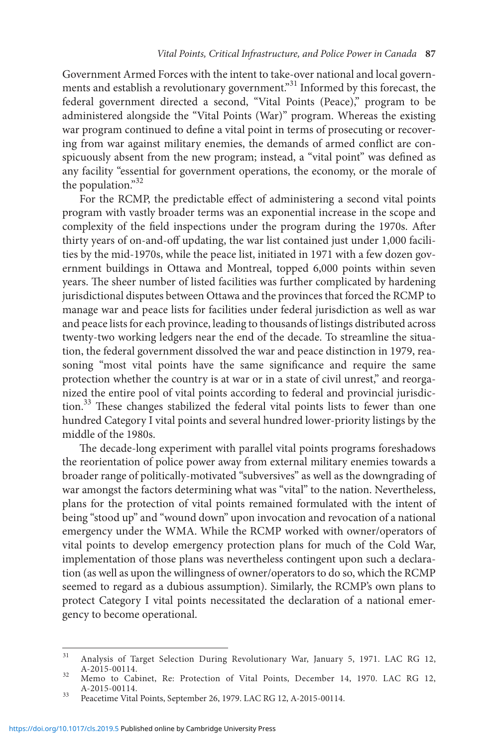Government Armed Forces with the intent to take-over national and local governments and establish a revolutionary government."<sup>31</sup> Informed by this forecast, the federal government directed a second, "Vital Points (Peace)," program to be administered alongside the "Vital Points (War)" program. Whereas the existing war program continued to define a vital point in terms of prosecuting or recovering from war against military enemies, the demands of armed conflict are conspicuously absent from the new program; instead, a "vital point" was defined as any facility "essential for government operations, the economy, or the morale of the population."32

For the RCMP, the predictable effect of administering a second vital points program with vastly broader terms was an exponential increase in the scope and complexity of the field inspections under the program during the 1970s. After thirty years of on-and-off updating, the war list contained just under 1,000 facilities by the mid-1970s, while the peace list, initiated in 1971 with a few dozen government buildings in Ottawa and Montreal, topped 6,000 points within seven years. The sheer number of listed facilities was further complicated by hardening jurisdictional disputes between Ottawa and the provinces that forced the RCMP to manage war and peace lists for facilities under federal jurisdiction as well as war and peace lists for each province, leading to thousands of listings distributed across twenty-two working ledgers near the end of the decade. To streamline the situation, the federal government dissolved the war and peace distinction in 1979, reasoning "most vital points have the same significance and require the same protection whether the country is at war or in a state of civil unrest," and reorganized the entire pool of vital points according to federal and provincial jurisdiction.<sup>33</sup> These changes stabilized the federal vital points lists to fewer than one hundred Category I vital points and several hundred lower-priority listings by the middle of the 1980s.

The decade-long experiment with parallel vital points programs foreshadows the reorientation of police power away from external military enemies towards a broader range of politically-motivated "subversives" as well as the downgrading of war amongst the factors determining what was "vital" to the nation. Nevertheless, plans for the protection of vital points remained formulated with the intent of being "stood up" and "wound down" upon invocation and revocation of a national emergency under the WMA. While the RCMP worked with owner/operators of vital points to develop emergency protection plans for much of the Cold War, implementation of those plans was nevertheless contingent upon such a declaration (as well as upon the willingness of owner/operators to do so, which the RCMP seemed to regard as a dubious assumption). Similarly, the RCMP's own plans to protect Category I vital points necessitated the declaration of a national emergency to become operational.

<sup>&</sup>lt;sup>31</sup> Analysis of Target Selection During Revolutionary War, January 5, 1971. LAC RG 12,  $A-2015-00114$ .

A-2015-00114. See: Protection of Vital Points, December 14, 1970. LAC RG 12, A-2015-00114.

<sup>&</sup>lt;sup>33</sup> Peacetime Vital Points, September 26, 1979. LAC RG 12, A-2015-00114.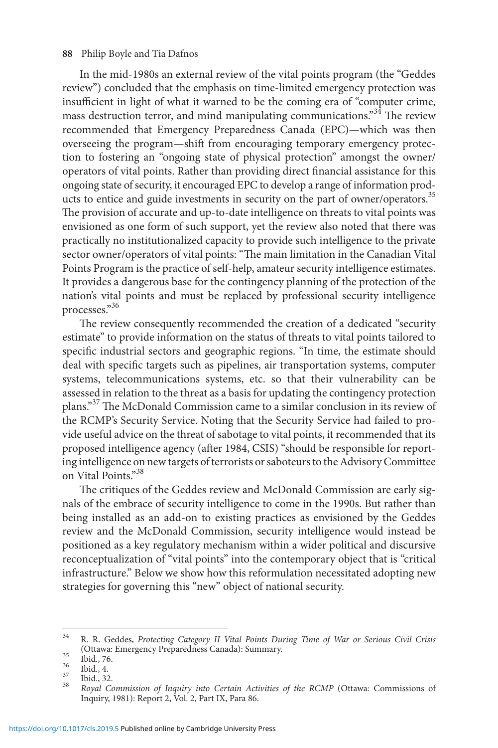In the mid-1980s an external review of the vital points program (the "Geddes review") concluded that the emphasis on time-limited emergency protection was insufficient in light of what it warned to be the coming era of "computer crime, mass destruction terror, and mind manipulating communications."34 The review recommended that Emergency Preparedness Canada (EPC)—which was then overseeing the program—shift from encouraging temporary emergency protection to fostering an "ongoing state of physical protection" amongst the owner/ operators of vital points. Rather than providing direct financial assistance for this ongoing state of security, it encouraged EPC to develop a range of information products to entice and guide investments in security on the part of owner/operators.<sup>35</sup> The provision of accurate and up-to-date intelligence on threats to vital points was envisioned as one form of such support, yet the review also noted that there was practically no institutionalized capacity to provide such intelligence to the private sector owner/operators of vital points: "The main limitation in the Canadian Vital Points Program is the practice of self-help, amateur security intelligence estimates. It provides a dangerous base for the contingency planning of the protection of the nation's vital points and must be replaced by professional security intelligence processes."<sup>36</sup>

The review consequently recommended the creation of a dedicated "security estimate" to provide information on the status of threats to vital points tailored to specific industrial sectors and geographic regions. "In time, the estimate should deal with specific targets such as pipelines, air transportation systems, computer systems, telecommunications systems, etc. so that their vulnerability can be assessed in relation to the threat as a basis for updating the contingency protection plans."37 The McDonald Commission came to a similar conclusion in its review of the RCMP's Security Service. Noting that the Security Service had failed to provide useful advice on the threat of sabotage to vital points, it recommended that its proposed intelligence agency (after 1984, CSIS) "should be responsible for reporting intelligence on new targets of terrorists or saboteurs to the Advisory Committee on Vital Points."<sup>38</sup>

The critiques of the Geddes review and McDonald Commission are early signals of the embrace of security intelligence to come in the 1990s. But rather than being installed as an add-on to existing practices as envisioned by the Geddes review and the McDonald Commission, security intelligence would instead be positioned as a key regulatory mechanism within a wider political and discursive reconceptualization of "vital points" into the contemporary object that is "critical infrastructure." Below we show how this reformulation necessitated adopting new strategies for governing this "new" object of national security.

<sup>34</sup> R. R. Geddes, *Protecting Category II Vital Points During Time of War or Serious Civil Crisis*

<sup>(</sup>Ottawa: Emergency Preparedness Canada): Summary.<br>
35 Ibid., 76.<br>
36 Ibid., 4.<br>
37 Ibid., 32.<br>
38 *Royal Commission of Inquiry into Certain Activities of the RCMP* (Ottawa: Commissions of Inquiry, 1981): Report 2, Vol. 2, Part IX, Para 86.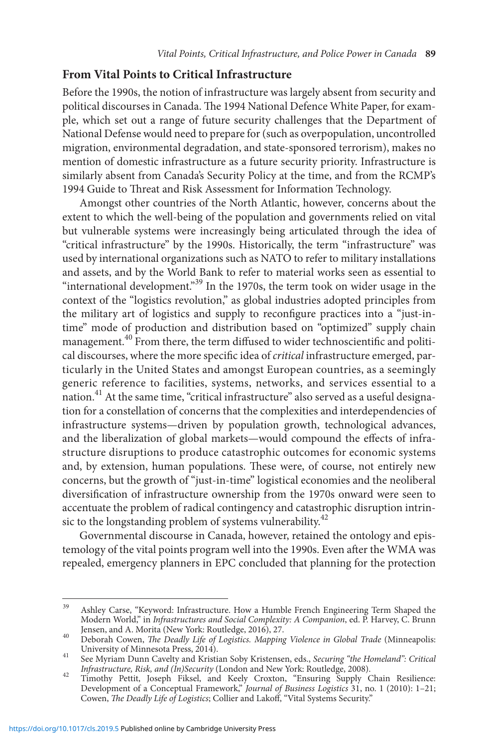## **From Vital Points to Critical Infrastructure**

Before the 1990s, the notion of infrastructure was largely absent from security and political discourses in Canada. The 1994 National Defence White Paper, for example, which set out a range of future security challenges that the Department of National Defense would need to prepare for (such as overpopulation, uncontrolled migration, environmental degradation, and state-sponsored terrorism), makes no mention of domestic infrastructure as a future security priority. Infrastructure is similarly absent from Canada's Security Policy at the time, and from the RCMP's 1994 Guide to Threat and Risk Assessment for Information Technology.

Amongst other countries of the North Atlantic, however, concerns about the extent to which the well-being of the population and governments relied on vital but vulnerable systems were increasingly being articulated through the idea of "critical infrastructure" by the 1990s. Historically, the term "infrastructure" was used by international organizations such as NATO to refer to military installations and assets, and by the World Bank to refer to material works seen as essential to "international development."39 In the 1970s, the term took on wider usage in the context of the "logistics revolution," as global industries adopted principles from the military art of logistics and supply to reconfigure practices into a "just-intime" mode of production and distribution based on "optimized" supply chain management.<sup>40</sup> From there, the term diffused to wider technoscientific and political discourses, where the more specific idea of *critical* infrastructure emerged, particularly in the United States and amongst European countries, as a seemingly generic reference to facilities, systems, networks, and services essential to a nation.<sup>41</sup> At the same time, "critical infrastructure" also served as a useful designation for a constellation of concerns that the complexities and interdependencies of infrastructure systems—driven by population growth, technological advances, and the liberalization of global markets—would compound the effects of infrastructure disruptions to produce catastrophic outcomes for economic systems and, by extension, human populations. These were, of course, not entirely new concerns, but the growth of "just-in-time" logistical economies and the neoliberal diversification of infrastructure ownership from the 1970s onward were seen to accentuate the problem of radical contingency and catastrophic disruption intrinsic to the longstanding problem of systems vulnerability.<sup>42</sup>

Governmental discourse in Canada, however, retained the ontology and epistemology of the vital points program well into the 1990s. Even after the WMA was repealed, emergency planners in EPC concluded that planning for the protection

<sup>&</sup>lt;sup>39</sup> Ashley Carse, "Keyword: Infrastructure. How a Humble French Engineering Term Shaped the Modern World," in *Infrastructures and Social Complexity: A Companion*, ed. P. Harvey, C. Brunn Jensen, and A. Morita (New York: Routledge, 2016), 27.

Jensen, and A. Morita (New York: Routledge, 2016), 27.<br>Independent Cowen, *The Deadly Life of Logistics. Mapping Violence in Global Trade* (Minneapolis:<br>University of Minnesota Press, 2014).

University of Minnesota Press, 2014). <sup>41</sup> See Myriam Dunn Cavelty and Kristian Soby Kristensen, eds., *Securing "the Homeland": Critical* 

*Infrastructure, Risk, and (In)Security* (London and New York: Routledge, 2008). <sup>42</sup> Timothy Pettit, Joseph Fiksel, and Keely Croxton, "Ensuring Supply Chain Resilience: Development of a Conceptual Framework," *Journal of Business Logistics* 31, no. 1 (2010): 1–21; Cowen, *The Deadly Life of Logistics*; Collier and Lakoff, "Vital Systems Security."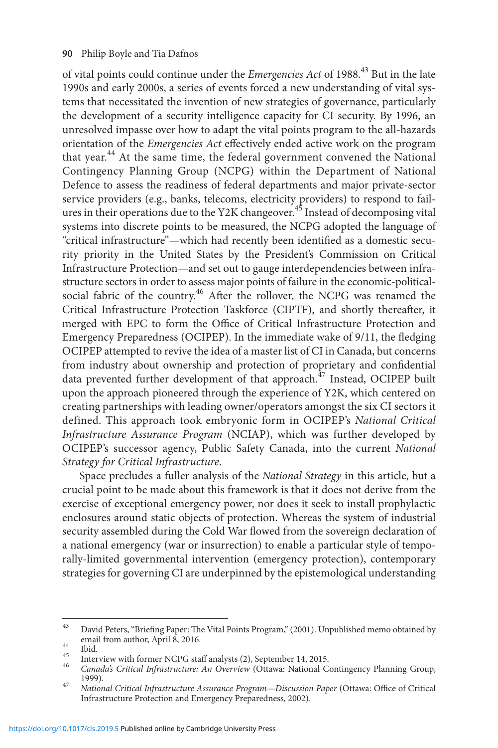of vital points could continue under the *Emergencies Act* of 1988.43 But in the late 1990s and early 2000s, a series of events forced a new understanding of vital systems that necessitated the invention of new strategies of governance, particularly the development of a security intelligence capacity for CI security. By 1996, an unresolved impasse over how to adapt the vital points program to the all-hazards orientation of the *Emergencies Act* effectively ended active work on the program that year.<sup>44</sup> At the same time, the federal government convened the National Contingency Planning Group (NCPG) within the Department of National Defence to assess the readiness of federal departments and major private-sector service providers (e.g., banks, telecoms, electricity providers) to respond to failures in their operations due to the Y2K changeover.<sup>45</sup> Instead of decomposing vital systems into discrete points to be measured, the NCPG adopted the language of "critical infrastructure"—which had recently been identified as a domestic security priority in the United States by the President's Commission on Critical Infrastructure Protection—and set out to gauge interdependencies between infrastructure sectors in order to assess major points of failure in the economic-politicalsocial fabric of the country.<sup>46</sup> After the rollover, the NCPG was renamed the Critical Infrastructure Protection Taskforce (CIPTF), and shortly thereafter, it merged with EPC to form the Office of Critical Infrastructure Protection and Emergency Preparedness (OCIPEP). In the immediate wake of 9/11, the fledging OCIPEP attempted to revive the idea of a master list of CI in Canada, but concerns from industry about ownership and protection of proprietary and confidential data prevented further development of that approach.<sup>47</sup> Instead, OCIPEP built upon the approach pioneered through the experience of Y2K, which centered on creating partnerships with leading owner/operators amongst the six CI sectors it defined. This approach took embryonic form in OCIPEP's *National Critical Infrastructure Assurance Program* (NCIAP), which was further developed by OCIPEP's successor agency, Public Safety Canada, into the current *National Strategy for Critical Infrastructure*.

Space precludes a fuller analysis of the *National Strategy* in this article, but a crucial point to be made about this framework is that it does not derive from the exercise of exceptional emergency power, nor does it seek to install prophylactic enclosures around static objects of protection. Whereas the system of industrial security assembled during the Cold War flowed from the sovereign declaration of a national emergency (war or insurrection) to enable a particular style of temporally-limited governmental intervention (emergency protection), contemporary strategies for governing CI are underpinned by the epistemological understanding

 $^{43}$  David Peters, "Briefing Paper: The Vital Points Program," (2001). Unpublished memo obtained by email from author, April 8, 2016.

email from author, April 8, 2016.<br>
44 Ibid.<br>
45 Interview with former NCPG staff analysts (2), September 14, 2015.<br> *Canada's Critical Infrastructure: An Overview* (Ottawa: National Contingency Planning Group,<br>
1999).

<sup>1999).</sup> <sup>47</sup> *National Critical Infrastructure Assurance Program—Discussion Paper* (Ottawa: Office of Critical Infrastructure Protection and Emergency Preparedness, 2002).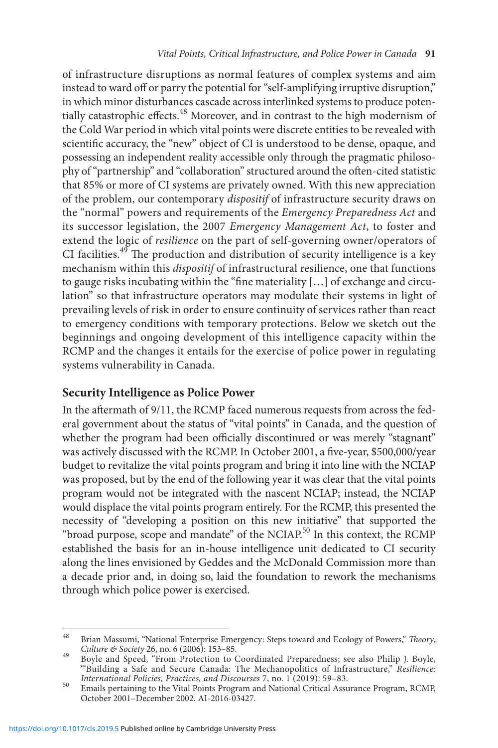of infrastructure disruptions as normal features of complex systems and aim instead to ward off or parry the potential for "self-amplifying irruptive disruption," in which minor disturbances cascade across interlinked systems to produce potentially catastrophic effects.<sup>48</sup> Moreover, and in contrast to the high modernism of the Cold War period in which vital points were discrete entities to be revealed with scientific accuracy, the "new" object of CI is understood to be dense, opaque, and possessing an independent reality accessible only through the pragmatic philosophy of "partnership" and "collaboration" structured around the often-cited statistic that 85% or more of CI systems are privately owned. With this new appreciation of the problem, our contemporary *dispositif* of infrastructure security draws on the "normal" powers and requirements of the *Emergency Preparedness Act* and its successor legislation, the 2007 *Emergency Management Act*, to foster and extend the logic of *resilience* on the part of self-governing owner/operators of CI facilities.<sup>49</sup> The production and distribution of security intelligence is a key mechanism within this *dispositif* of infrastructural resilience, one that functions to gauge risks incubating within the "fine materiality […] of exchange and circulation" so that infrastructure operators may modulate their systems in light of prevailing levels of risk in order to ensure continuity of services rather than react to emergency conditions with temporary protections. Below we sketch out the beginnings and ongoing development of this intelligence capacity within the RCMP and the changes it entails for the exercise of police power in regulating systems vulnerability in Canada.

## **Security Intelligence as Police Power**

In the aftermath of 9/11, the RCMP faced numerous requests from across the federal government about the status of "vital points" in Canada, and the question of whether the program had been officially discontinued or was merely "stagnant" was actively discussed with the RCMP. In October 2001, a five-year, \$500,000/year budget to revitalize the vital points program and bring it into line with the NCIAP was proposed, but by the end of the following year it was clear that the vital points program would not be integrated with the nascent NCIAP; instead, the NCIAP would displace the vital points program entirely. For the RCMP, this presented the necessity of "developing a position on this new initiative" that supported the "broad purpose, scope and mandate" of the NCIAP.<sup>50</sup> In this context, the RCMP established the basis for an in-house intelligence unit dedicated to CI security along the lines envisioned by Geddes and the McDonald Commission more than a decade prior and, in doing so, laid the foundation to rework the mechanisms through which police power is exercised.

Brian Massumi, "National Enterprise Emergency: Steps toward and Ecology of Powers," *Theory*, *Culture & Society* 26, no. 6 (2006): 153-85.

*Culture & Society* 26, no. 6 (2006): 153–85. <sup>49</sup> Boyle and Speed, "From Protection to Coordinated Preparedness; see also Philip J. Boyle, "'Building a Safe and Secure Canada: The Mechanopolitics of Infrastructure," *Resilience: International Policies, Practices, and Discourses* 7, no. 1 (2019): 59–83. <sup>50</sup> Emails pertaining to the Vital Points Program and National Critical Assurance Program, RCMP,

October 2001–December 2002. AI-2016-03427.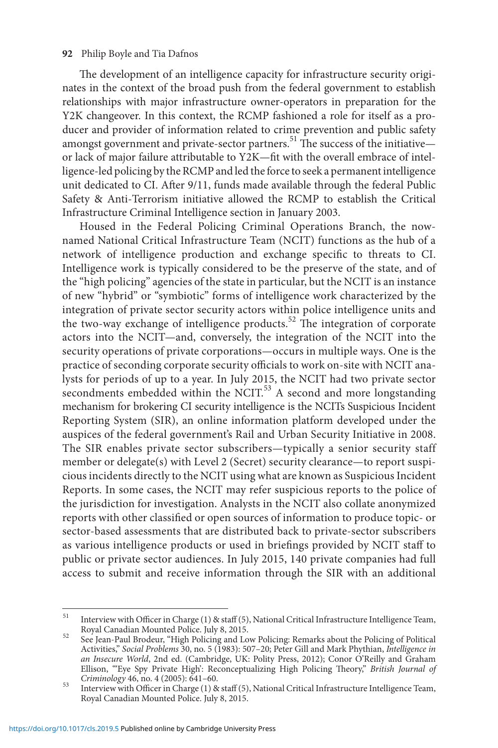The development of an intelligence capacity for infrastructure security originates in the context of the broad push from the federal government to establish relationships with major infrastructure owner-operators in preparation for the Y2K changeover. In this context, the RCMP fashioned a role for itself as a producer and provider of information related to crime prevention and public safety amongst government and private-sector partners.<sup>51</sup> The success of the initiative or lack of major failure attributable to Y2K—fit with the overall embrace of intelligence-led policing by the RCMP and led the force to seek a permanent intelligence unit dedicated to CI. After 9/11, funds made available through the federal Public Safety & Anti-Terrorism initiative allowed the RCMP to establish the Critical Infrastructure Criminal Intelligence section in January 2003.

Housed in the Federal Policing Criminal Operations Branch, the nownamed National Critical Infrastructure Team (NCIT) functions as the hub of a network of intelligence production and exchange specific to threats to CI. Intelligence work is typically considered to be the preserve of the state, and of the "high policing" agencies of the state in particular, but the NCIT is an instance of new "hybrid" or "symbiotic" forms of intelligence work characterized by the integration of private sector security actors within police intelligence units and the two-way exchange of intelligence products.<sup>52</sup> The integration of corporate actors into the NCIT—and, conversely, the integration of the NCIT into the security operations of private corporations—occurs in multiple ways. One is the practice of seconding corporate security officials to work on-site with NCIT analysts for periods of up to a year. In July 2015, the NCIT had two private sector secondments embedded within the NCIT.<sup>53</sup> A second and more longstanding mechanism for brokering CI security intelligence is the NCITs Suspicious Incident Reporting System (SIR), an online information platform developed under the auspices of the federal government's Rail and Urban Security Initiative in 2008. The SIR enables private sector subscribers—typically a senior security staff member or delegate(s) with Level 2 (Secret) security clearance—to report suspicious incidents directly to the NCIT using what are known as Suspicious Incident Reports. In some cases, the NCIT may refer suspicious reports to the police of the jurisdiction for investigation. Analysts in the NCIT also collate anonymized reports with other classified or open sources of information to produce topic- or sector-based assessments that are distributed back to private-sector subscribers as various intelligence products or used in briefings provided by NCIT staff to public or private sector audiences. In July 2015, 140 private companies had full access to submit and receive information through the SIR with an additional

<sup>&</sup>lt;sup>51</sup> Interview with Officer in Charge (1) & staff (5), National Critical Infrastructure Intelligence Team, Royal Canadian Mounted Police. July 8, 2015.

Royal Canadian Mounted Police. July 8, 2015. <sup>52</sup> See Jean-Paul Brodeur, "High Policing and Low Policing: Remarks about the Policing of Political Activities," *Social Problems* 30, no. 5 (1983): 507–20; Peter Gill and Mark Phythian, *Intelligence in*  an Insecure World, 2nd ed. (Cambridge, UK: Polity Press, 2012); Conor O'Reilly and Graham Ellison, "'Eye Spy Private High': Reconceptualizing High Policing Theory," *British Journal of* 

<sup>&</sup>lt;sup>53</sup> Interview with Officer in Charge (1) & staff (5), National Critical Infrastructure Intelligence Team, Royal Canadian Mounted Police. July 8, 2015.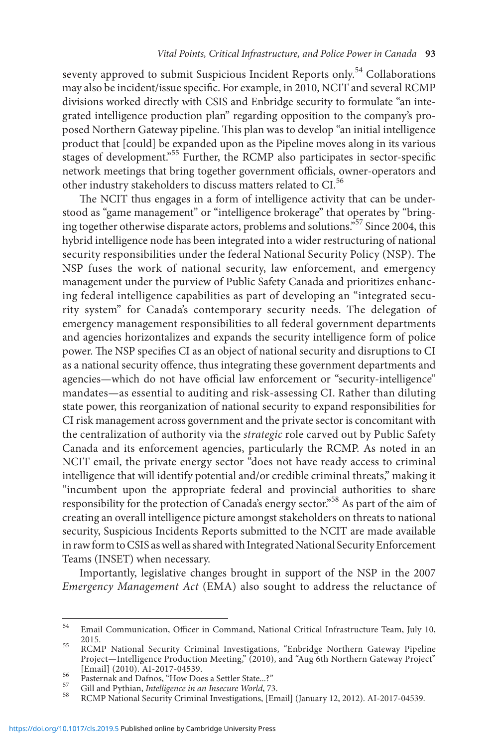seventy approved to submit Suspicious Incident Reports only.<sup>54</sup> Collaborations may also be incident/issue specific. For example, in 2010, NCIT and several RCMP divisions worked directly with CSIS and Enbridge security to formulate "an integrated intelligence production plan" regarding opposition to the company's proposed Northern Gateway pipeline. This plan was to develop "an initial intelligence product that [could] be expanded upon as the Pipeline moves along in its various stages of development.<sup>55</sup> Further, the RCMP also participates in sector-specific network meetings that bring together government officials, owner-operators and other industry stakeholders to discuss matters related to CI.<sup>56</sup>

The NCIT thus engages in a form of intelligence activity that can be understood as "game management" or "intelligence brokerage" that operates by "bringing together otherwise disparate actors, problems and solutions."57 Since 2004, this hybrid intelligence node has been integrated into a wider restructuring of national security responsibilities under the federal National Security Policy (NSP). The NSP fuses the work of national security, law enforcement, and emergency management under the purview of Public Safety Canada and prioritizes enhancing federal intelligence capabilities as part of developing an "integrated security system" for Canada's contemporary security needs. The delegation of emergency management responsibilities to all federal government departments and agencies horizontalizes and expands the security intelligence form of police power. The NSP specifies CI as an object of national security and disruptions to CI as a national security offence, thus integrating these government departments and agencies—which do not have official law enforcement or "security-intelligence" mandates—as essential to auditing and risk-assessing CI. Rather than diluting state power, this reorganization of national security to expand responsibilities for CI risk management across government and the private sector is concomitant with the centralization of authority via the *strategic* role carved out by Public Safety Canada and its enforcement agencies, particularly the RCMP. As noted in an NCIT email, the private energy sector "does not have ready access to criminal intelligence that will identify potential and/or credible criminal threats," making it "incumbent upon the appropriate federal and provincial authorities to share responsibility for the protection of Canada's energy sector."58 As part of the aim of creating an overall intelligence picture amongst stakeholders on threats to national security, Suspicious Incidents Reports submitted to the NCIT are made available in raw form to CSIS as well as shared with Integrated National Security Enforcement Teams (INSET) when necessary.

Importantly, legislative changes brought in support of the NSP in the 2007 *Emergency Management Act* (EMA) also sought to address the reluctance of

<sup>54</sup> Email Communication, Officer in Command, National Critical Infrastructure Team, July 10,

<sup>2015.</sup> <sup>55</sup> RCMP National Security Criminal Investigations, "Enbridge Northern Gateway Pipeline Project—Intelligence Production Meeting," (2010), and "Aug 6th Northern Gateway Project" [Email] (2010). AI-2017-04539.

Formary (2010). Al-2012<br>
Fasternak and Dafnos, "How Does a Settler State...?"<br>
Gill and Pythian, *Intelligence in an Insecure World*, 73.<br>
RCMP National Security Criminal Investigations, [Email] (January 12, 2012). AI-2017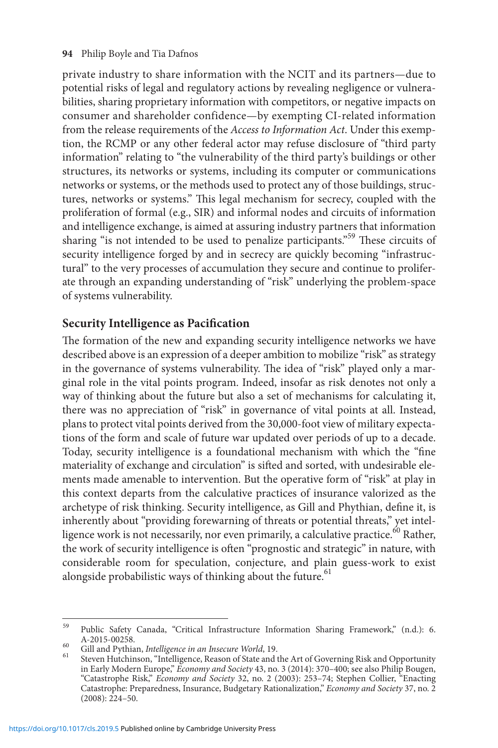private industry to share information with the NCIT and its partners—due to potential risks of legal and regulatory actions by revealing negligence or vulnerabilities, sharing proprietary information with competitors, or negative impacts on consumer and shareholder confidence—by exempting CI-related information from the release requirements of the *Access to Information Act*. Under this exemption, the RCMP or any other federal actor may refuse disclosure of "third party information" relating to "the vulnerability of the third party's buildings or other structures, its networks or systems, including its computer or communications networks or systems, or the methods used to protect any of those buildings, structures, networks or systems." This legal mechanism for secrecy, coupled with the proliferation of formal (e.g., SIR) and informal nodes and circuits of information and intelligence exchange, is aimed at assuring industry partners that information sharing "is not intended to be used to penalize participants."<sup>59</sup> These circuits of security intelligence forged by and in secrecy are quickly becoming "infrastructural" to the very processes of accumulation they secure and continue to proliferate through an expanding understanding of "risk" underlying the problem-space of systems vulnerability.

## **Security Intelligence as Pacification**

The formation of the new and expanding security intelligence networks we have described above is an expression of a deeper ambition to mobilize "risk" as strategy in the governance of systems vulnerability. The idea of "risk" played only a marginal role in the vital points program. Indeed, insofar as risk denotes not only a way of thinking about the future but also a set of mechanisms for calculating it, there was no appreciation of "risk" in governance of vital points at all. Instead, plans to protect vital points derived from the 30,000-foot view of military expectations of the form and scale of future war updated over periods of up to a decade. Today, security intelligence is a foundational mechanism with which the "fine materiality of exchange and circulation" is sifted and sorted, with undesirable elements made amenable to intervention. But the operative form of "risk" at play in this context departs from the calculative practices of insurance valorized as the archetype of risk thinking. Security intelligence, as Gill and Phythian, define it, is inherently about "providing forewarning of threats or potential threats," yet intelligence work is not necessarily, nor even primarily, a calculative practice.<sup>60</sup> Rather, the work of security intelligence is often "prognostic and strategic" in nature, with considerable room for speculation, conjecture, and plain guess-work to exist alongside probabilistic ways of thinking about the future. $61$ 

 $^{59}$  Public Safety Canada, "Critical Infrastructure Information Sharing Framework," (n.d.): 6. A-2015-00258.

A-2015-00258. <sup>60</sup> Gill and Pythian, *Intelligence in an Insecure World*, 19. <sup>61</sup> Steven Hutchinson, "Intelligence, Reason of State and the Art of Governing Risk and Opportunity in Early Modern Europe," *Economy and Society* 43, no. 3 (2014): 370–400; see also Philip Bougen, "Catastrophe Risk," *Economy and Society* 32, no. 2 (2003): 253–74; Stephen Collier, "Enacting Catastrophe: Preparedness, Insurance, Budgetary Rationalization," *Economy and Society* 37, no. 2 (2008): 224–50.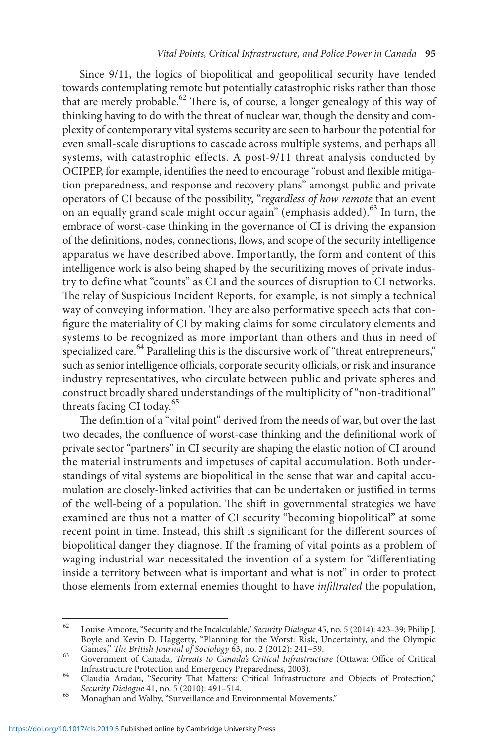Since 9/11, the logics of biopolitical and geopolitical security have tended towards contemplating remote but potentially catastrophic risks rather than those that are merely probable.<sup>62</sup> There is, of course, a longer genealogy of this way of thinking having to do with the threat of nuclear war, though the density and complexity of contemporary vital systems security are seen to harbour the potential for even small-scale disruptions to cascade across multiple systems, and perhaps all systems, with catastrophic effects. A post-9/11 threat analysis conducted by OCIPEP, for example, identifies the need to encourage "robust and flexible mitigation preparedness, and response and recovery plans" amongst public and private operators of CI because of the possibility, "*regardless of how remote* that an event on an equally grand scale might occur again" (emphasis added).<sup>63</sup> In turn, the embrace of worst-case thinking in the governance of CI is driving the expansion of the definitions, nodes, connections, flows, and scope of the security intelligence apparatus we have described above. Importantly, the form and content of this intelligence work is also being shaped by the securitizing moves of private industry to define what "counts" as CI and the sources of disruption to CI networks. The relay of Suspicious Incident Reports, for example, is not simply a technical way of conveying information. They are also performative speech acts that configure the materiality of CI by making claims for some circulatory elements and systems to be recognized as more important than others and thus in need of specialized care.<sup>64</sup> Paralleling this is the discursive work of "threat entrepreneurs," such as senior intelligence officials, corporate security officials, or risk and insurance industry representatives, who circulate between public and private spheres and construct broadly shared understandings of the multiplicity of "non-traditional" threats facing CI today.<sup>65</sup>

The definition of a "vital point" derived from the needs of war, but over the last two decades, the confluence of worst-case thinking and the definitional work of private sector "partners" in CI security are shaping the elastic notion of CI around the material instruments and impetuses of capital accumulation. Both understandings of vital systems are biopolitical in the sense that war and capital accumulation are closely-linked activities that can be undertaken or justified in terms of the well-being of a population. The shift in governmental strategies we have examined are thus not a matter of CI security "becoming biopolitical" at some recent point in time. Instead, this shift is significant for the different sources of biopolitical danger they diagnose. If the framing of vital points as a problem of waging industrial war necessitated the invention of a system for "differentiating inside a territory between what is important and what is not" in order to protect those elements from external enemies thought to have *infiltrated* the population,

<sup>62</sup> Louise Amoore, "Security and the Incalculable," *Security Dialogue* 45, no. 5 (2014): 423–39; Philip J. Boyle and Kevin D. Haggerty, "Planning for the Worst: Risk, Uncertainty, and the Olympic Games," The British Journal of Sociology 63, no. 2 (2012): 241-59.

Games, The British Journal of Canada, *Threats to Canada's Critical Infrastructure* (Ottawa: Office of Critical Infrastructure Protection and Emergency Preparedness, 2003).

Claudia Aradau, "Security That Matters: Critical Infrastructure and Objects of Protection,"<br>Security Dialogue 41, no. 5 (2010): 491–514.

<sup>&</sup>lt;sup>65</sup> Monaghan and Walby, "Surveillance and Environmental Movements."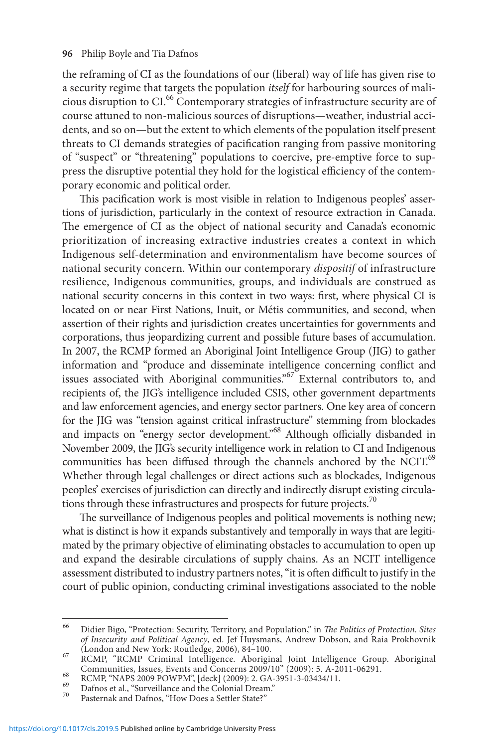the reframing of CI as the foundations of our (liberal) way of life has given rise to a security regime that targets the population *itself* for harbouring sources of malicious disruption to CI.66 Contemporary strategies of infrastructure security are of course attuned to non-malicious sources of disruptions—weather, industrial accidents, and so on—but the extent to which elements of the population itself present threats to CI demands strategies of pacification ranging from passive monitoring of "suspect" or "threatening" populations to coercive, pre-emptive force to suppress the disruptive potential they hold for the logistical efficiency of the contemporary economic and political order.

This pacification work is most visible in relation to Indigenous peoples' assertions of jurisdiction, particularly in the context of resource extraction in Canada. The emergence of CI as the object of national security and Canada's economic prioritization of increasing extractive industries creates a context in which Indigenous self-determination and environmentalism have become sources of national security concern. Within our contemporary *dispositif* of infrastructure resilience, Indigenous communities, groups, and individuals are construed as national security concerns in this context in two ways: first, where physical CI is located on or near First Nations, Inuit, or Métis communities, and second, when assertion of their rights and jurisdiction creates uncertainties for governments and corporations, thus jeopardizing current and possible future bases of accumulation. In 2007, the RCMP formed an Aboriginal Joint Intelligence Group (JIG) to gather information and "produce and disseminate intelligence concerning conflict and issues associated with Aboriginal communities."<sup>67</sup> External contributors to, and recipients of, the JIG's intelligence included CSIS, other government departments and law enforcement agencies, and energy sector partners. One key area of concern for the JIG was "tension against critical infrastructure" stemming from blockades and impacts on "energy sector development."<sup>68</sup> Although officially disbanded in November 2009, the JIG's security intelligence work in relation to CI and Indigenous communities has been diffused through the channels anchored by the NCIT.<sup>69</sup> Whether through legal challenges or direct actions such as blockades, Indigenous peoples' exercises of jurisdiction can directly and indirectly disrupt existing circulations through these infrastructures and prospects for future projects.<sup>70</sup>

The surveillance of Indigenous peoples and political movements is nothing new; what is distinct is how it expands substantively and temporally in ways that are legitimated by the primary objective of eliminating obstacles to accumulation to open up and expand the desirable circulations of supply chains. As an NCIT intelligence assessment distributed to industry partners notes, "it is often difficult to justify in the court of public opinion, conducting criminal investigations associated to the noble

<sup>66</sup> Didier Bigo, "Protection: Security, Territory, and Population," in *The Politics of Protection. Sites of Insecurity and Political Agency*, ed. Jef Huysmans, Andrew Dobson, and Raia Prokhovnik

<sup>(</sup>London and New York: Routledge, 2006), 84–100.<br>67 RCMP, "RCMP Criminal Intelligence. Aboriginal Joint Intelligence Group. Aboriginal % Communities, Issues, Events and Concerns 2009/10" (2009): 5. A-2011-06291.<br>
RCMP, "NAPS 2009 POWPM", [deck] (2009): 2. GA-3951-3-03434/11.<br>
Dafnos et al., "Surveillance and the Colonial Dream."<br>
Pasternak and Dafnos, "H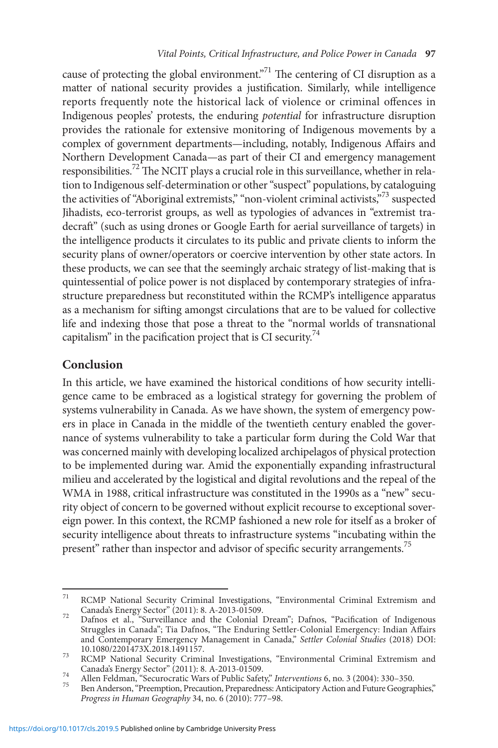cause of protecting the global environment.<sup> $71$ </sup> The centering of CI disruption as a matter of national security provides a justification. Similarly, while intelligence reports frequently note the historical lack of violence or criminal offences in Indigenous peoples' protests, the enduring *potential* for infrastructure disruption provides the rationale for extensive monitoring of Indigenous movements by a complex of government departments—including, notably, Indigenous Affairs and Northern Development Canada—as part of their CI and emergency management responsibilities.<sup>72</sup> The NCIT plays a crucial role in this surveillance, whether in relation to Indigenous self-determination or other "suspect" populations, by cataloguing the activities of "Aboriginal extremists," "non-violent criminal activists,"<sup>73</sup> suspected Jihadists, eco-terrorist groups, as well as typologies of advances in "extremist tradecraft" (such as using drones or Google Earth for aerial surveillance of targets) in the intelligence products it circulates to its public and private clients to inform the security plans of owner/operators or coercive intervention by other state actors. In these products, we can see that the seemingly archaic strategy of list-making that is quintessential of police power is not displaced by contemporary strategies of infrastructure preparedness but reconstituted within the RCMP's intelligence apparatus as a mechanism for sifting amongst circulations that are to be valued for collective life and indexing those that pose a threat to the "normal worlds of transnational capitalism" in the pacification project that is CI security.<sup>74</sup>

# **Conclusion**

In this article, we have examined the historical conditions of how security intelligence came to be embraced as a logistical strategy for governing the problem of systems vulnerability in Canada. As we have shown, the system of emergency powers in place in Canada in the middle of the twentieth century enabled the governance of systems vulnerability to take a particular form during the Cold War that was concerned mainly with developing localized archipelagos of physical protection to be implemented during war. Amid the exponentially expanding infrastructural milieu and accelerated by the logistical and digital revolutions and the repeal of the WMA in 1988, critical infrastructure was constituted in the 1990s as a "new" security object of concern to be governed without explicit recourse to exceptional sovereign power. In this context, the RCMP fashioned a new role for itself as a broker of security intelligence about threats to infrastructure systems "incubating within the present" rather than inspector and advisor of specific security arrangements.<sup>75</sup>

<sup>&</sup>lt;sup>71</sup> RCMP National Security Criminal Investigations, "Environmental Criminal Extremism and Canada's Energy Sector" (2011): 8. A-2013-01509.

<sup>&</sup>lt;sup>72</sup> Dafnos et al., "Surveillance and the Colonial Dream"; Dafnos, "Pacification of Indigenous Struggles in Canada"; Tia Dafnos, "The Enduring Settler-Colonial Emergency: Indian Affairs and Contemporary Emergency Management in Canada," *Settler Colonial Studies* (2018) DOI:

[<sup>10.1080/2201473</sup>X.2018.1491157.](https://doi.org/10.1080/2201473X.2018.1491157) <sup>73</sup> RCMP National Security Criminal Investigations, "Environmental Criminal Extremism and

Canada's Energy Sector" (2011): 8. A-2013-01509.<br><sup>74</sup> Allen Feldman, "Securocratic Wars of Public Safety," *Interventions* 6, no. 3 (2004): 330–350.<br><sup>75</sup> Ben Anderson, "Preemption, Precaution, Preparedness: Anticipatory Ac *Progress in Human Geography* 34, no. 6 (2010): 777–98.